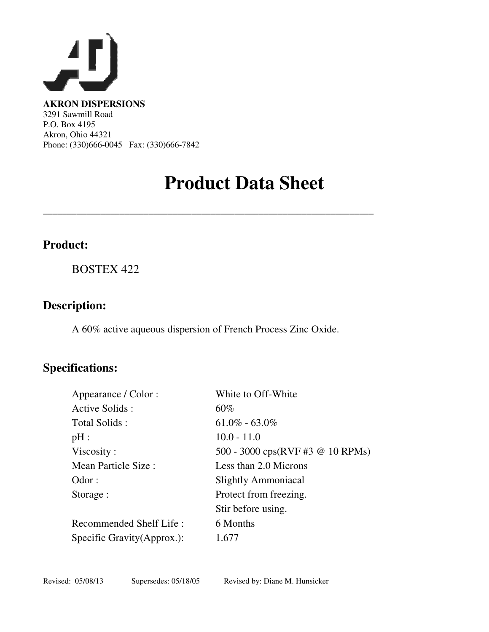

**AKRON DISPERSIONS**  3291 Sawmill Road P.O. Box 4195 Akron, Ohio 44321 Phone: (330)666-0045 Fax: (330)666-7842

## **Product Data Sheet**

## **Product:**

BOSTEX 422

### **Description:**

A 60% active aqueous dispersion of French Process Zinc Oxide.

\_\_\_\_\_\_\_\_\_\_\_\_\_\_\_\_\_\_\_\_\_\_\_\_\_\_\_\_\_\_\_\_\_\_\_\_\_\_\_\_\_\_\_\_\_\_\_\_\_\_\_\_\_\_\_\_\_\_\_\_\_\_\_\_\_\_\_\_\_

## **Specifications:**

| White to Off-White                                             |
|----------------------------------------------------------------|
| 60%                                                            |
| $61.0\% - 63.0\%$                                              |
| $10.0 - 11.0$                                                  |
| 500 - 3000 $\text{cps}(\text{RVF} \# 3 \ @ \ 10 \text{ RPMs})$ |
| Less than 2.0 Microns                                          |
| <b>Slightly Ammoniacal</b>                                     |
| Protect from freezing.                                         |
| Stir before using.                                             |
| 6 Months                                                       |
| 1.677                                                          |
|                                                                |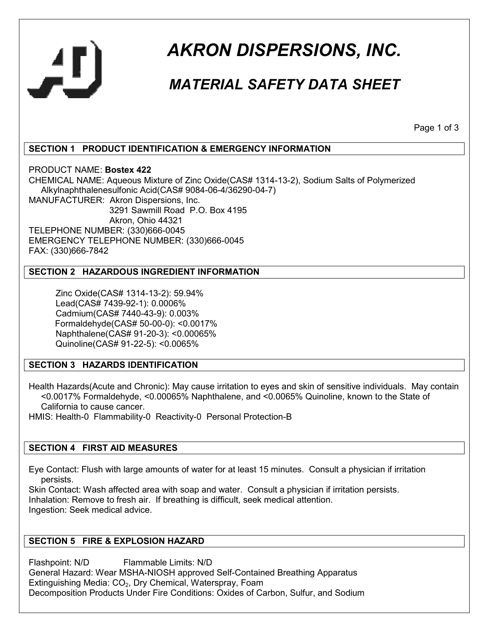

# *AKRON DISPERSIONS, INC.*

## *MATERIAL SAFETY DATA SHEET*

Page 1 of 3

#### **SECTION 1 PRODUCT IDENTIFICATION & EMERGENCY INFORMATION**

PRODUCT NAME: **Bostex 422** CHEMICAL NAME: Aqueous Mixture of Zinc Oxide(CAS# 1314-13-2), Sodium Salts of Polymerized Alkylnaphthalenesulfonic Acid(CAS# 9084-06-4/36290-04-7) MANUFACTURER: Akron Dispersions, Inc. 3291 Sawmill Road P.O. Box 4195 Akron, Ohio 44321 TELEPHONE NUMBER: (330)666-0045 EMERGENCY TELEPHONE NUMBER: (330)666-0045 FAX: (330)666-7842

#### **SECTION 2 HAZARDOUS INGREDIENT INFORMATION**

 Zinc Oxide(CAS# 1314-13-2): 59.94% Lead(CAS# 7439-92-1): 0.0006% Cadmium(CAS# 7440-43-9): 0.003% Formaldehyde(CAS# 50-00-0): <0.0017% Naphthalene(CAS# 91-20-3): <0.00065% Quinoline(CAS# 91-22-5): <0.0065%

#### **SECTION 3 HAZARDS IDENTIFICATION**

Health Hazards(Acute and Chronic): May cause irritation to eyes and skin of sensitive individuals. May contain <0.0017% Formaldehyde, <0.00065% Naphthalene, and <0.0065% Quinoline, known to the State of California to cause cancer.

HMIS: Health-0 Flammability-0 Reactivity-0 Personal Protection-B

#### **SECTION 4 FIRST AID MEASURES**

Eye Contact: Flush with large amounts of water for at least 15 minutes. Consult a physician if irritation persists.

Skin Contact: Wash affected area with soap and water. Consult a physician if irritation persists. Inhalation: Remove to fresh air. If breathing is difficult, seek medical attention. Ingestion: Seek medical advice.

#### **SECTION 5 FIRE & EXPLOSION HAZARD**

Flashpoint: N/D Flammable Limits: N/D General Hazard: Wear MSHA-NIOSH approved Self-Contained Breathing Apparatus Extinguishing Media: CO<sub>2</sub>, Dry Chemical, Waterspray, Foam Decomposition Products Under Fire Conditions: Oxides of Carbon, Sulfur, and Sodium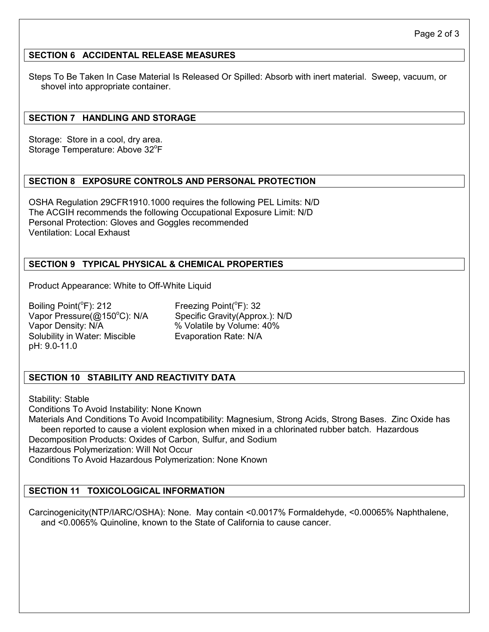#### **SECTION 6 ACCIDENTAL RELEASE MEASURES**

Steps To Be Taken In Case Material Is Released Or Spilled: Absorb with inert material. Sweep, vacuum, or shovel into appropriate container.

#### **SECTION 7 HANDLING AND STORAGE**

Storage: Store in a cool, dry area. Storage Temperature: Above 32°F

#### **SECTION 8 EXPOSURE CONTROLS AND PERSONAL PROTECTION**

OSHA Regulation 29CFR1910.1000 requires the following PEL Limits: N/D The ACGIH recommends the following Occupational Exposure Limit: N/D Personal Protection: Gloves and Goggles recommended Ventilation: Local Exhaust

#### **SECTION 9 TYPICAL PHYSICAL & CHEMICAL PROPERTIES**

Product Appearance: White to Off-White Liquid

Boiling Point( ${}^{\circ}$ Freezing Point( ${}^{\circ}$ F): 32 Vapor Pressure(@150°C): N/A Specific Gravity(Approx.): N/D Vapor Density: N/A  $\%$  Volatile by Volume: 40% Solubility in Water: Miscible Evaporation Rate: N/A pH: 9.0-11.0

#### **SECTION 10 STABILITY AND REACTIVITY DATA**

Stability: Stable Conditions To Avoid Instability: None Known Materials And Conditions To Avoid Incompatibility: Magnesium, Strong Acids, Strong Bases. Zinc Oxide has been reported to cause a violent explosion when mixed in a chlorinated rubber batch. Hazardous Decomposition Products: Oxides of Carbon, Sulfur, and Sodium Hazardous Polymerization: Will Not Occur Conditions To Avoid Hazardous Polymerization: None Known

#### **SECTION 11 TOXICOLOGICAL INFORMATION**

Carcinogenicity(NTP/IARC/OSHA): None. May contain <0.0017% Formaldehyde, <0.00065% Naphthalene, and <0.0065% Quinoline, known to the State of California to cause cancer.